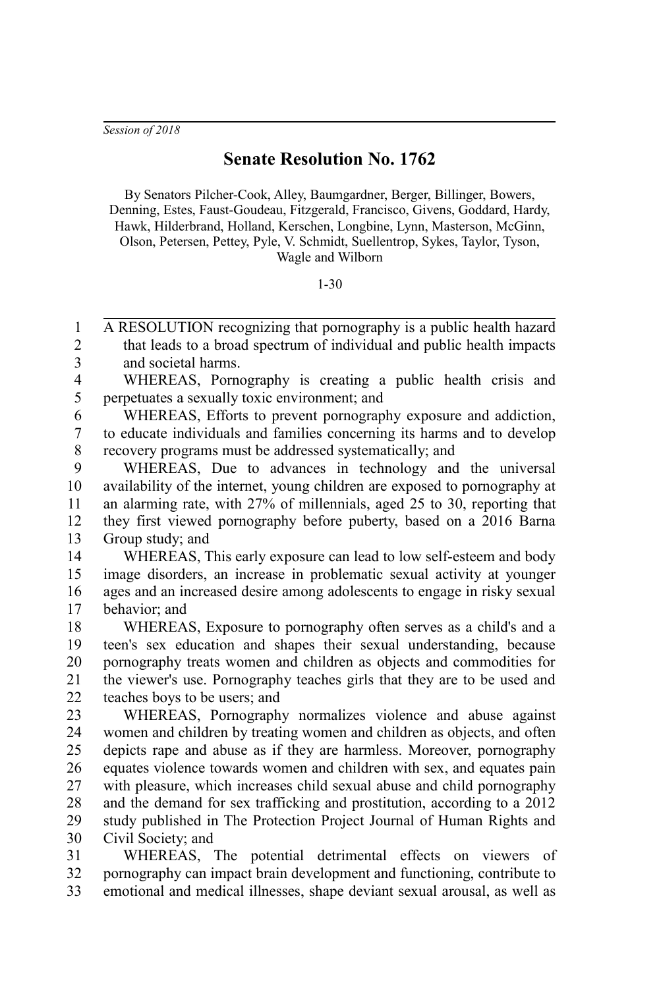*Session of 2018*

## **Senate Resolution No. 1762**

By Senators Pilcher-Cook, Alley, Baumgardner, Berger, Billinger, Bowers, Denning, Estes, Faust-Goudeau, Fitzgerald, Francisco, Givens, Goddard, Hardy, Hawk, Hilderbrand, Holland, Kerschen, Longbine, Lynn, Masterson, McGinn, Olson, Petersen, Pettey, Pyle, V. Schmidt, Suellentrop, Sykes, Taylor, Tyson, Wagle and Wilborn

## 1-30

A RESOLUTION recognizing that pornography is a public health hazard that leads to a broad spectrum of individual and public health impacts and societal harms. 1 2 3

WHEREAS, Pornography is creating a public health crisis and perpetuates a sexually toxic environment; and 4 5

WHEREAS, Efforts to prevent pornography exposure and addiction, to educate individuals and families concerning its harms and to develop recovery programs must be addressed systematically; and 6 7 8

WHEREAS, Due to advances in technology and the universal availability of the internet, young children are exposed to pornography at an alarming rate, with 27% of millennials, aged 25 to 30, reporting that they first viewed pornography before puberty, based on a 2016 Barna Group study; and  $\mathbf Q$ 10 11 12 13

WHEREAS, This early exposure can lead to low self-esteem and body image disorders, an increase in problematic sexual activity at younger ages and an increased desire among adolescents to engage in risky sexual behavior; and 14 15 16 17

WHEREAS, Exposure to pornography often serves as a child's and a teen's sex education and shapes their sexual understanding, because pornography treats women and children as objects and commodities for the viewer's use. Pornography teaches girls that they are to be used and teaches boys to be users; and 18 19 20 21 22

WHEREAS, Pornography normalizes violence and abuse against women and children by treating women and children as objects, and often depicts rape and abuse as if they are harmless. Moreover, pornography equates violence towards women and children with sex, and equates pain with pleasure, which increases child sexual abuse and child pornography and the demand for sex trafficking and prostitution, according to a 2012 study published in The Protection Project Journal of Human Rights and Civil Society; and 23 24 25 26 27 28 29 30

WHEREAS, The potential detrimental effects on viewers of pornography can impact brain development and functioning, contribute to emotional and medical illnesses, shape deviant sexual arousal, as well as 31 32 33